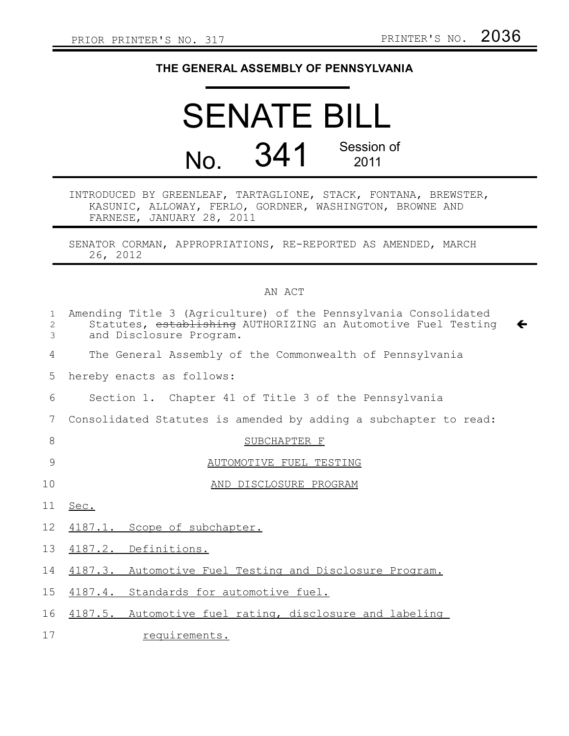$\leftarrow$ 

## **THE GENERAL ASSEMBLY OF PENNSYLVANIA**

## SENATE BILL No. 341 Session of 2011

## INTRODUCED BY GREENLEAF, TARTAGLIONE, STACK, FONTANA, BREWSTER, KASUNIC, ALLOWAY, FERLO, GORDNER, WASHINGTON, BROWNE AND FARNESE, JANUARY 28, 2011

SENATOR CORMAN, APPROPRIATIONS, RE-REPORTED AS AMENDED, MARCH 26, 2012

## AN ACT

| $\mathbf{1}$<br>$\mathbf{2}$<br>3 | Amending Title 3 (Agriculture) of the Pennsylvania Consolidated<br>Statutes, establishing AUTHORIZING an Automotive Fuel Testing<br>and Disclosure Program. |
|-----------------------------------|-------------------------------------------------------------------------------------------------------------------------------------------------------------|
| 4                                 | The General Assembly of the Commonwealth of Pennsylvania                                                                                                    |
| 5                                 | hereby enacts as follows:                                                                                                                                   |
| 6                                 | Section 1. Chapter 41 of Title 3 of the Pennsylvania                                                                                                        |
| 7                                 | Consolidated Statutes is amended by adding a subchapter to read:                                                                                            |
| 8                                 | SUBCHAPTER F                                                                                                                                                |
| 9                                 | AUTOMOTIVE FUEL TESTING                                                                                                                                     |
| 10                                | AND DISCLOSURE PROGRAM                                                                                                                                      |
| 11                                | Sec.                                                                                                                                                        |
| 12                                | 4187.1. Scope of subchapter.                                                                                                                                |
| 13                                | 4187.2. Definitions.                                                                                                                                        |
| 14                                | 4187.3. Automotive Fuel Testing and Disclosure Program.                                                                                                     |
| 15 <sub>1</sub>                   | 4187.4. Standards for automotive fuel.                                                                                                                      |
| 16                                | 4187.5. Automotive fuel rating, disclosure and labeling                                                                                                     |
| 17                                | requirements.                                                                                                                                               |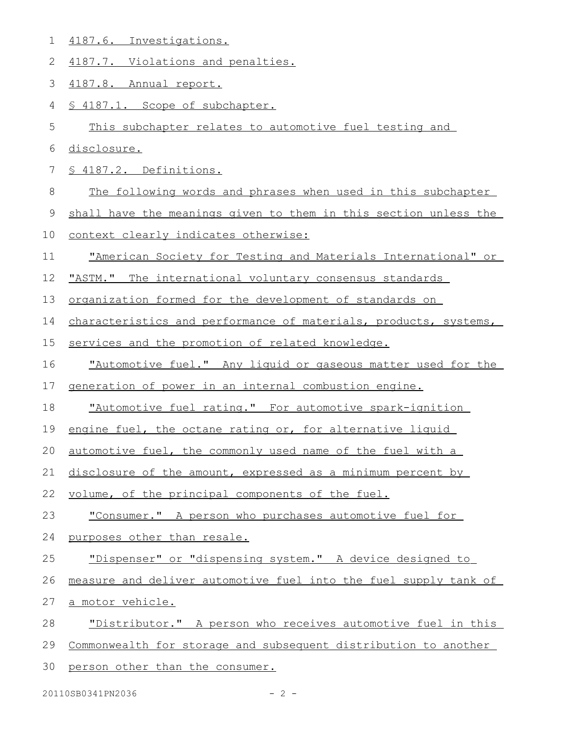| 1           | 4187.6. Investigations.                                          |
|-------------|------------------------------------------------------------------|
| 2           | 4187.7. Violations and penalties.                                |
| 3           | 4187.8. Annual report.                                           |
| 4           | § 4187.1. Scope of subchapter.                                   |
| 5           | This subchapter relates to automotive fuel testing and           |
| 6           | disclosure.                                                      |
| 7           | § 4187.2. Definitions.                                           |
| 8           | The following words and phrases when used in this subchapter     |
| $\mathsf 9$ | shall have the meanings given to them in this section unless the |
| 10          | context clearly indicates otherwise:                             |
| 11          | "American Society for Testing and Materials International" or    |
| 12          | "ASTM." The international voluntary consensus standards          |
| 13          | organization formed for the development of standards on          |
| 14          | characteristics and performance of materials, products, systems, |
| 15          | services and the promotion of related knowledge.                 |
| 16          | "Automotive fuel." Any liquid or gaseous matter used for the     |
| 17          | generation of power in an internal combustion engine.            |
| 18          | "Automotive fuel rating." For automotive spark-ignition          |
| 19          | engine fuel, the octane rating or, for alternative liquid        |
| 20          | automotive fuel, the commonly used name of the fuel with a       |
| 21          | disclosure of the amount, expressed as a minimum percent by      |
| 22          | volume, of the principal components of the fuel.                 |
| 23          | "Consumer." A person who purchases automotive fuel for           |
| 24          | purposes other than resale.                                      |
| 25          |                                                                  |
|             | "Dispenser" or "dispensing system." A device designed to         |
| 26          | measure and deliver automotive fuel into the fuel supply tank of |
| 27          | <u>a motor vehicle.</u>                                          |
| 28          | "Distributor." A person who receives automotive fuel in this     |
| 29          | Commonwealth for storage and subsequent distribution to another  |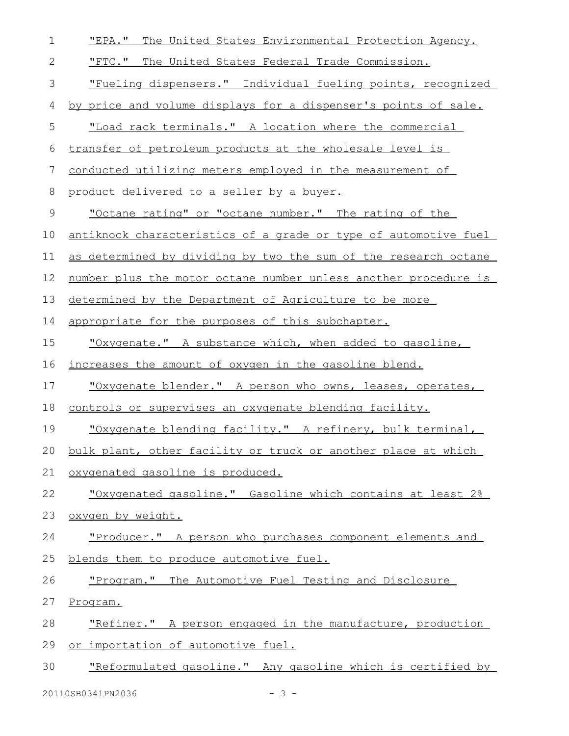| 1          | "EPA."<br>The United States Environmental Protection Agency.     |
|------------|------------------------------------------------------------------|
| $\sqrt{2}$ | "FTC." The United States Federal Trade Commission.               |
| 3          | "Fueling dispensers." Individual fueling points, recognized      |
| 4          | by price and volume displays for a dispenser's points of sale.   |
| 5          | "Load rack terminals." A location where the commercial           |
| 6          | transfer of petroleum products at the wholesale level is         |
| 7          | conducted utilizing meters employed in the measurement of        |
| 8          | product delivered to a seller by a buyer.                        |
| 9          | <u>"Octane rating" or "octane number." The rating of the</u>     |
| 10         | antiknock characteristics of a grade or type of automotive fuel  |
| 11         | as determined by dividing by two the sum of the research octane  |
| 12         | number plus the motor octane number unless another procedure is  |
| 13         | determined by the Department of Agriculture to be more           |
| 14         | appropriate for the purposes of this subchapter.                 |
| 15         | "Oxygenate." A substance which, when added to gasoline,          |
| 16         | <u>increases the amount of oxygen in the gasoline blend.</u>     |
| 17         | "Oxygenate blender." A person who owns, leases, operates,        |
| 18         | controls or supervises an oxygenate blending facility.           |
| 19         | "Oxygenate blending facility." A refinery, bulk terminal,        |
|            | 20 bulk plant, other facility or truck or another place at which |
| 21         | oxygenated gasoline is produced.                                 |
| 22         | "Oxygenated gasoline." Gasoline which contains at least 2%       |
| 23         | oxygen by weight.                                                |
| 24         | "Producer." A person who purchases component elements and        |
| 25         | blends them to produce automotive fuel.                          |
| 26         | "Program." The Automotive Fuel Testing and Disclosure            |
| 27         | Program.                                                         |
| 28         | "Refiner." A person engaged in the manufacture, production       |
| 29         | or importation of automotive fuel.                               |
| 30         | "Reformulated gasoline." Any gasoline which is certified by      |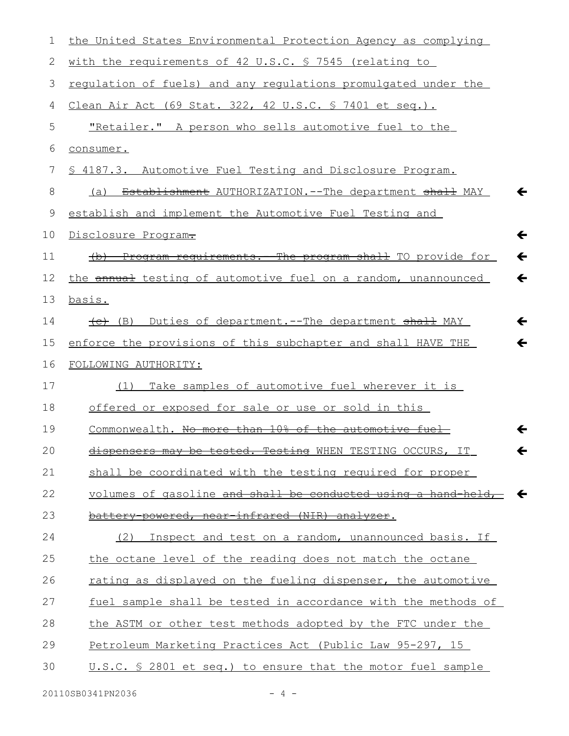| 1  | the United States Environmental Protection Agency as complying                           |
|----|------------------------------------------------------------------------------------------|
| 2  | with the requirements of 42 U.S.C. § 7545 (relating to                                   |
| 3  | <u>requlation of fuels) and any requlations promulgated under the</u>                    |
| 4  | <u>Clean Air Act (69 Stat. 322, 42 U.S.C. § 7401 et seq.).</u>                           |
| 5  | "Retailer." A person who sells automotive fuel to the                                    |
| 6  | consumer.                                                                                |
| 7  | \$ 4187.3. Automotive Fuel Testing and Disclosure Program.                               |
| 8  | Establishment AUTHORIZATION.--The department shall MAY<br>←<br>(a)                       |
| 9  | establish and implement the Automotive Fuel Testing and                                  |
| 10 | $\leftarrow$<br>Disclosure Program-                                                      |
| 11 | Program requirements. The program shall TO provide for<br>$\leftarrow$<br>$\overline{a}$ |
| 12 | the annual testing of automotive fuel on a random, unannounced<br>$\leftarrow$           |
| 13 | basis.                                                                                   |
| 14 | (B) Duties of department.--The department shall MAY<br>←                                 |
| 15 | enforce the provisions of this subchapter and shall HAVE THE<br>←                        |
| 16 | FOLLOWING AUTHORITY:                                                                     |
| 17 | Take samples of automotive fuel wherever it is<br>(1)                                    |
| 18 | offered or exposed for sale or use or sold in this                                       |
| 19 | Commonwealth. No more than 10% of the automotive fuel<br>←                               |
| 20 | dispensers may be tested. Testing WHEN TESTING OCCURS,<br>IT <sub>_</sub>                |
| 21 | shall be coordinated with the testing required for proper                                |
| 22 | volumes of gasoline and shall be conducted using a hand held,                            |
| 23 | battery powered, near infrared (NIR) analyzer.                                           |
| 24 | Inspect and test on a random, unannounced basis. If<br>(2)                               |
| 25 | the octane level of the reading does not match the octane                                |
| 26 | rating as displayed on the fueling dispenser, the automotive                             |
| 27 | fuel sample shall be tested in accordance with the methods of                            |
| 28 | the ASTM or other test methods adopted by the FTC under the                              |
| 29 | Petroleum Marketing Practices Act (Public Law 95-297, 15                                 |
| 30 | U.S.C. § 2801 et seq.) to ensure that the motor fuel sample                              |
|    |                                                                                          |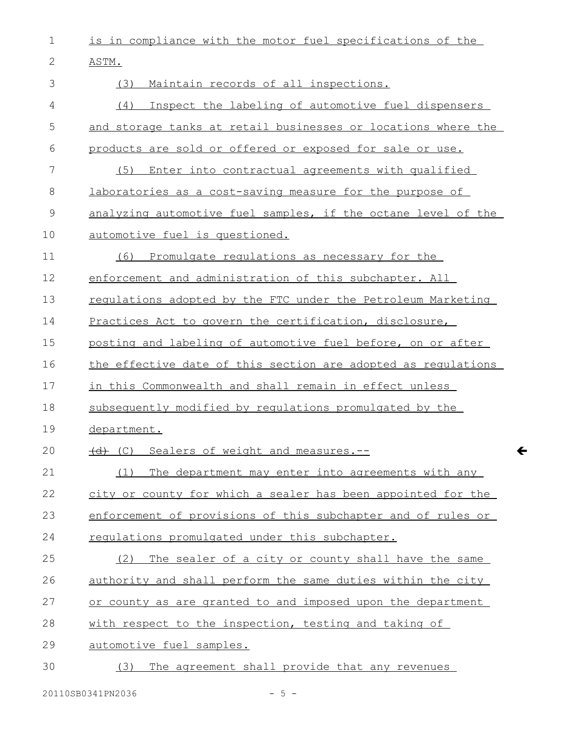is in compliance with the motor fuel specifications of the 1

ASTM. 2

| 3           | (3)<br>Maintain records of all inspections.                   |
|-------------|---------------------------------------------------------------|
| 4           | Inspect the labeling of automotive fuel dispensers<br>(4)     |
| 5           | and storage tanks at retail businesses or locations where the |
| 6           | products are sold or offered or exposed for sale or use.      |
| 7           | (5)<br>Enter into contractual agreements with qualified       |
| 8           | laboratories as a cost-saving measure for the purpose of      |
| $\mathsf 9$ | analyzing automotive fuel samples, if the octane level of the |
| 10          | automotive fuel is questioned.                                |
| 11          | Promulgate regulations as necessary for the<br>(6)            |
| 12          | enforcement and administration of this subchapter. All        |
| 13          | regulations adopted by the FTC under the Petroleum Marketing  |
| 14          | Practices Act to govern the certification, disclosure,        |
| 15          | posting and labeling of automotive fuel before, on or after   |
| 16          | the effective date of this section are adopted as regulations |
| 17          | in this Commonwealth and shall remain in effect unless        |
| 18          | subsequently modified by requlations promulgated by the       |
| 19          | department.                                                   |
| 20          | (C) Sealers of weight and measures.--                         |
| 21          | (1)<br>The department may enter into agreements with any      |
| 22          | city or county for which a sealer has been appointed for the  |
| 23          | enforcement of provisions of this subchapter and of rules or  |
| 24          | requiations promulgated under this subchapter.                |
| 25          | The sealer of a city or county shall have the same<br>(2)     |
| 26          | authority and shall perform the same duties within the city   |
| 27          | or county as are granted to and imposed upon the department   |
| 28          | with respect to the inspection, testing and taking of         |
| 29          | automotive fuel samples.                                      |
| 30          | The agreement shall provide that any revenues<br>(3)          |
|             |                                                               |

 $\leftarrow$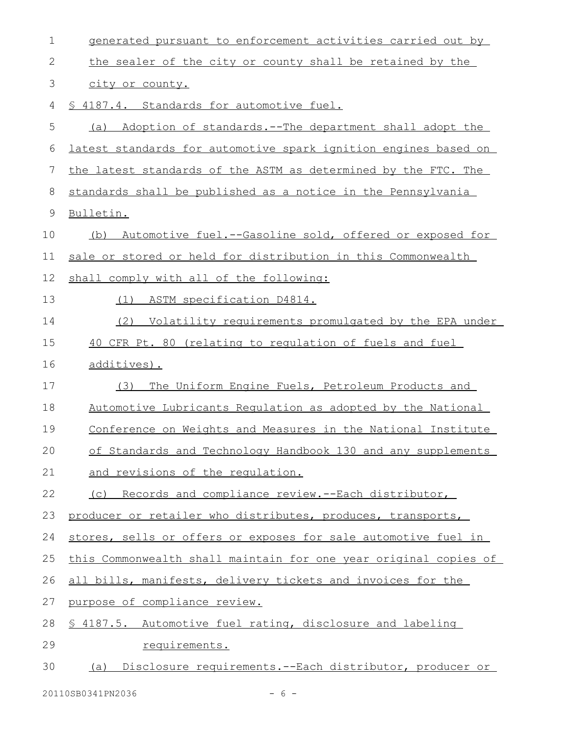| 1           | generated pursuant to enforcement activities carried out by      |
|-------------|------------------------------------------------------------------|
| 2           | the sealer of the city or county shall be retained by the        |
| 3           | city or county.                                                  |
| 4           | § 4187.4. Standards for automotive fuel.                         |
| 5           | Adoption of standards.--The department shall adopt the<br>(a)    |
| 6           | latest standards for automotive spark ignition engines based on  |
| 7           | the latest standards of the ASTM as determined by the FTC. The   |
| 8           | standards shall be published as a notice in the Pennsylvania     |
| $\mathsf 9$ | Bulletin.                                                        |
| 10          | Automotive fuel.--Gasoline sold, offered or exposed for<br>(b)   |
| 11          | sale or stored or held for distribution in this Commonwealth     |
| 12          | shall comply with all of the following:                          |
| 13          | ASTM specification D4814.<br>(1)                                 |
| 14          | (2)<br>Volatility requirements promulgated by the EPA under      |
| 15          | 40 CFR Pt. 80 (relating to regulation of fuels and fuel          |
| 16          | additives).                                                      |
| 17          | (3)<br>The Uniform Engine Fuels, Petroleum Products and          |
| 18          | Automotive Lubricants Requlation as adopted by the National      |
| 19          | Conference on Weights and Measures in the National Institute     |
| 20          | of Standards and Technology Handbook 130 and any supplements     |
| 21          | and revisions of the requlation.                                 |
| 22          | (c) Records and compliance review.--Each distributor,            |
| 23          | producer or retailer who distributes, produces, transports,      |
| 24          | stores, sells or offers or exposes for sale automotive fuel in   |
| 25          | this Commonwealth shall maintain for one year original copies of |
| 26          | all bills, manifests, delivery tickets and invoices for the      |
| 27          | purpose of compliance review.                                    |
| 28          | \$ 4187.5. Automotive fuel rating, disclosure and labeling       |
| 29          | requirements.                                                    |
| 30          | (a) Disclosure requirements.--Each distributor, producer or      |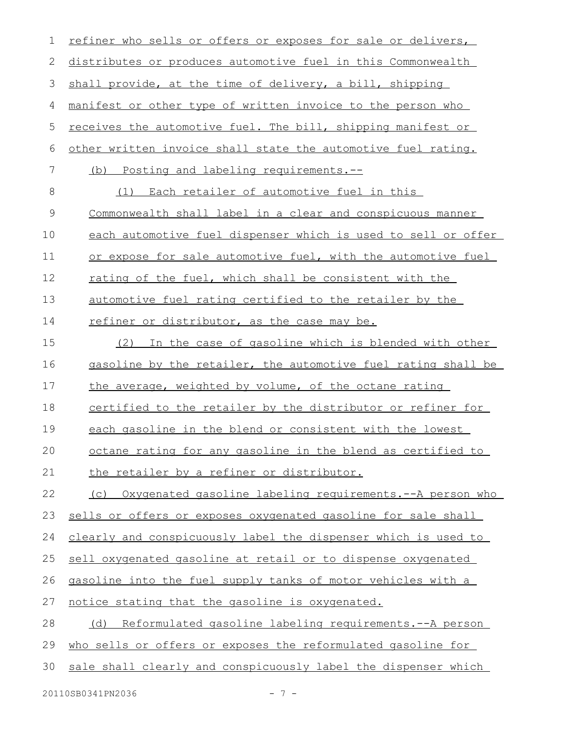| 1  | refiner who sells or offers or exposes for sale or delivers,        |
|----|---------------------------------------------------------------------|
| 2  | distributes or produces automotive fuel in this Commonwealth        |
| 3  | shall provide, at the time of delivery, a bill, shipping            |
| 4  | manifest or other type of written invoice to the person who         |
| 5  | <u>receives the automotive fuel. The bill, shipping manifest or</u> |
| 6  | other written invoice shall state the automotive fuel rating.       |
| 7  | (b) Posting and labeling requirements.--                            |
| 8  | (1) Each retailer of automotive fuel in this                        |
| 9  | Commonwealth shall label in a clear and conspicuous manner          |
| 10 | each automotive fuel dispenser which is used to sell or offer       |
| 11 | or expose for sale automotive fuel, with the automotive fuel        |
| 12 | rating of the fuel, which shall be consistent with the              |
| 13 | automotive fuel rating certified to the retailer by the             |
| 14 | refiner or distributor, as the case may be.                         |
| 15 | In the case of gasoline which is blended with other<br>(2)          |
| 16 | gasoline by the retailer, the automotive fuel rating shall be       |
| 17 | the average, weighted by volume, of the octane rating               |
| 18 | certified to the retailer by the distributor or refiner for         |
| 19 | each gasoline in the blend or consistent with the lowest            |
| 20 | octane rating for any gasoline in the blend as certified to         |
| 21 | the retailer by a refiner or distributor.                           |
| 22 | (c) Oxygenated gasoline labeling requirements.--A person who        |
| 23 | sells or offers or exposes oxygenated gasoline for sale shall       |
| 24 | clearly and conspicuously label the dispenser which is used to      |
| 25 | sell oxygenated gasoline at retail or to dispense oxygenated        |
| 26 | gasoline into the fuel supply tanks of motor vehicles with a        |
| 27 | notice stating that the gasoline is oxygenated.                     |
| 28 | (d) Reformulated gasoline labeling requirements.--A person          |
| 29 | who sells or offers or exposes the reformulated gasoline for        |
| 30 | sale shall clearly and conspicuously label the dispenser which      |
|    |                                                                     |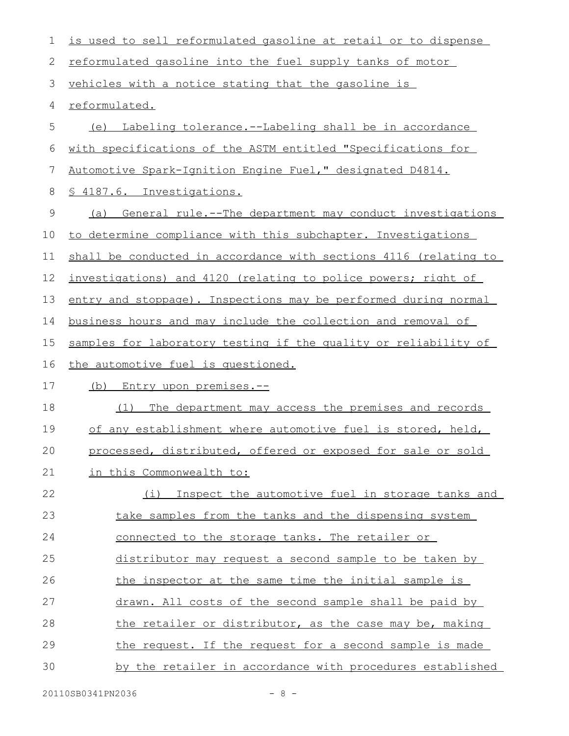| $\mathbf 1$  | is used to sell reformulated gasoline at retail or to dispense   |
|--------------|------------------------------------------------------------------|
| $\mathbf{2}$ | reformulated gasoline into the fuel supply tanks of motor        |
| 3            | vehicles with a notice stating that the gasoline is              |
| 4            | reformulated.                                                    |
| 5            | Labeling tolerance.--Labeling shall be in accordance<br>(e)      |
| 6            | with specifications of the ASTM entitled "Specifications for     |
| 7            | Automotive Spark-Ignition Engine Fuel," designated D4814.        |
| 8            | § 4187.6. Investigations.                                        |
| 9            | General rule.--The department may conduct investigations<br>(a)  |
| 10           | to determine compliance with this subchapter. Investigations     |
| 11           | shall be conducted in accordance with sections 4116 (relating to |
| 12           | investigations) and 4120 (relating to police powers; right of    |
| 13           | entry and stoppage). Inspections may be performed during normal  |
| 14           | business hours and may include the collection and removal of     |
| 15           | samples for laboratory testing if the quality or reliability of  |
| 16           | the automotive fuel is questioned.                               |
| 17           | <u>(b) Entry upon premises.--</u>                                |
| 18           | The department may access the premises and records<br>(1)        |
| 19           | of any establishment where automotive fuel is stored, held,      |
| 20           | processed, distributed, offered or exposed for sale or sold      |
| 21           | in this Commonwealth to:                                         |
| 22           | (i) Inspect the automotive fuel in storage tanks and             |
| 23           | take samples from the tanks and the dispensing system            |
| 24           | connected to the storage tanks. The retailer or                  |
| 25           | distributor may request a second sample to be taken by           |
| 26           | the inspector at the same time the initial sample is             |
| 27           | drawn. All costs of the second sample shall be paid by           |
| 28           | the retailer or distributor, as the case may be, making          |
| 29           | the request. If the request for a second sample is made          |
| 30           | by the retailer in accordance with procedures established        |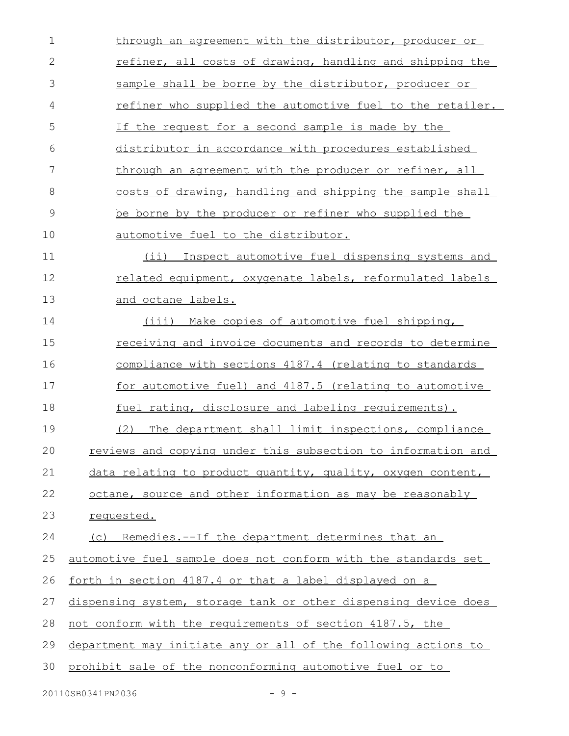| $\mathbf 1$  | through an agreement with the distributor, producer or          |
|--------------|-----------------------------------------------------------------|
| $\mathbf{2}$ | refiner, all costs of drawing, handling and shipping the        |
| 3            | sample shall be borne by the distributor, producer or           |
| 4            | refiner who supplied the automotive fuel to the retailer.       |
| 5            | If the request for a second sample is made by the               |
| 6            | distributor in accordance with procedures established           |
| 7            | through an agreement with the producer or refiner, all          |
| 8            | costs of drawing, handling and shipping the sample shall        |
| 9            | be borne by the producer or refiner who supplied the            |
| 10           | automotive fuel to the distributor.                             |
| 11           | (ii) Inspect automotive fuel dispensing systems and             |
| 12           | related equipment, oxygenate labels, reformulated labels        |
| 13           | and octane labels.                                              |
| 14           | (iii) Make copies of automotive fuel shipping,                  |
| 15           | receiving and invoice documents and records to determine        |
| 16           | compliance with sections 4187.4 (relating to standards          |
| 17           | for automotive fuel) and 4187.5 (relating to automotive         |
| 18           | fuel rating, disclosure and labeling requirements).             |
| 19           | The department shall limit inspections, compliance<br>(2)       |
| 20           | reviews and copying under this subsection to information and    |
| 21           | data relating to product quantity, quality, oxygen content,     |
| 22           | octane, source and other information as may be reasonably       |
| 23           | requested.                                                      |
| 24           | (c) Remedies.--If the department determines that an             |
| 25           | automotive fuel sample does not conform with the standards set  |
| 26           | <u>forth in section 4187.4 or that a label displayed on a</u>   |
| 27           | dispensing system, storage tank or other dispensing device does |
| 28           | not conform with the requirements of section 4187.5, the        |
| 29           | department may initiate any or all of the following actions to  |
| 30           | prohibit sale of the nonconforming automotive fuel or to        |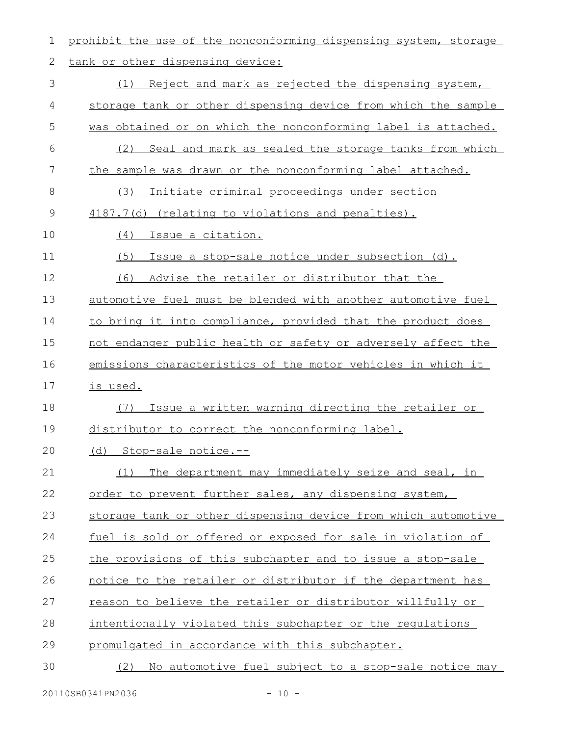prohibit the use of the nonconforming dispensing system, storage tank or other dispensing device: (1) Reject and mark as rejected the dispensing system, storage tank or other dispensing device from which the sample was obtained or on which the nonconforming label is attached. (2) Seal and mark as sealed the storage tanks from which the sample was drawn or the nonconforming label attached. (3) Initiate criminal proceedings under section 4187.7(d) (relating to violations and penalties). (4) Issue a citation. (5) Issue a stop-sale notice under subsection (d). (6) Advise the retailer or distributor that the automotive fuel must be blended with another automotive fuel to bring it into compliance, provided that the product does not endanger public health or safety or adversely affect the emissions characteristics of the motor vehicles in which it is used. (7) Issue a written warning directing the retailer or distributor to correct the nonconforming label. (d) Stop-sale notice.-- (1) The department may immediately seize and seal, in order to prevent further sales, any dispensing system, storage tank or other dispensing device from which automotive fuel is sold or offered or exposed for sale in violation of the provisions of this subchapter and to issue a stop-sale notice to the retailer or distributor if the department has reason to believe the retailer or distributor willfully or intentionally violated this subchapter or the regulations promulgated in accordance with this subchapter. (2) No automotive fuel subject to a stop-sale notice may 1 2 3 4 5 6 7 8 9 10 11 12 13 14 15 16 17 18 19 20 21 22 23 24 25 26 27 28 29 30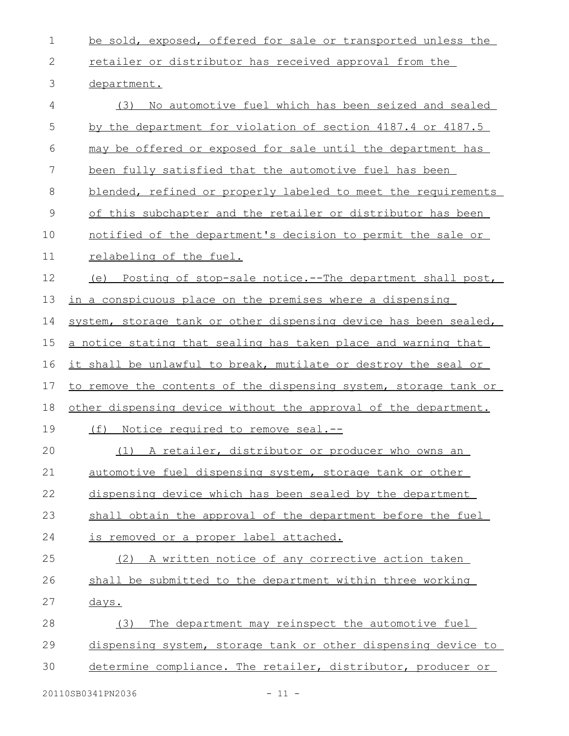| $\mathbf 1$   | be sold, exposed, offered for sale or transported unless the     |
|---------------|------------------------------------------------------------------|
| $\mathbf{2}$  | retailer or distributor has received approval from the           |
| 3             | department.                                                      |
| 4             | No automotive fuel which has been seized and sealed<br>(3)       |
| 5             | by the department for violation of section 4187.4 or 4187.5      |
| 6             | may be offered or exposed for sale until the department has      |
| 7             | been fully satisfied that the automotive fuel has been           |
| 8             | blended, refined or properly labeled to meet the requirements    |
| $\mathcal{G}$ | of this subchapter and the retailer or distributor has been      |
| 10            | notified of the department's decision to permit the sale or      |
| 11            | relabeling of the fuel.                                          |
| 12            | (e) Posting of stop-sale notice.--The department shall post,     |
| 13            | in a conspicuous place on the premises where a dispensing        |
| 14            | system, storage tank or other dispensing device has been sealed, |
| 15            | a notice stating that sealing has taken place and warning that   |
| 16            | it shall be unlawful to break, mutilate or destroy the seal or   |
| 17            | to remove the contents of the dispensing system, storage tank or |
| 18            | other dispensing device without the approval of the department.  |
| 19            | Notice required to remove seal.--<br>(f)                         |
| 20            | A retailer, distributor or producer who owns an<br>(1)           |
| 21            | automotive fuel dispensing system, storage tank or other         |
| 22            | dispensing device which has been sealed by the department        |
| 23            | shall obtain the approval of the department before the fuel      |
| 24            | <u>is removed or a proper label attached.</u>                    |
| 25            | A written notice of any corrective action taken<br>(2)           |
| 26            | shall be submitted to the department within three working        |
| 27            | <u>days.</u>                                                     |
| 28            | The department may reinspect the automotive fuel<br>(3)          |
| 29            | dispensing system, storage tank or other dispensing device to    |
| 30            | determine compliance. The retailer, distributor, producer or     |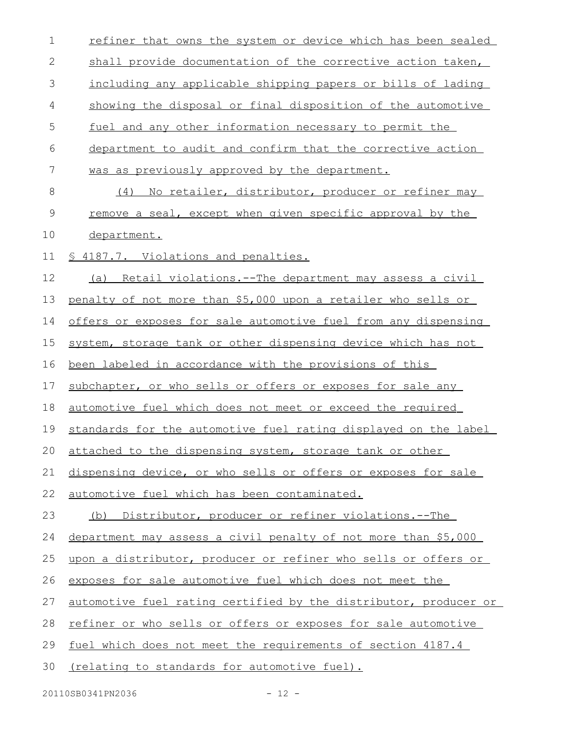| $\mathbf 1$ | refiner that owns the system or device which has been sealed        |
|-------------|---------------------------------------------------------------------|
| 2           | shall provide documentation of the corrective action taken,         |
| 3           | including any applicable shipping papers or bills of lading         |
| 4           | showing the disposal or final disposition of the automotive         |
| 5           | fuel and any other information necessary to permit the              |
| 6           | department to audit and confirm that the corrective action          |
| 7           | was as previously approved by the department.                       |
| $\,8\,$     | (4) No retailer, distributor, producer or refiner may               |
| $\mathsf 9$ | remove a seal, except when given specific approval by the           |
| 10          | department.                                                         |
| 11          | § 4187.7. Violations and penalties.                                 |
| 12          | <u>Retail violations.--The department may assess a civil</u><br>(a) |
| 13          | penalty of not more than \$5,000 upon a retailer who sells or       |
| 14          | offers or exposes for sale automotive fuel from any dispensing      |
| 15          | system, storage tank or other dispensing device which has not       |
| 16          | been labeled in accordance with the provisions of this              |
| 17          | subchapter, or who sells or offers or exposes for sale any          |
| 18          | automotive fuel which does not meet or exceed the required          |
| 19          | standards for the automotive fuel rating displayed on the label     |
| 20          | attached to the dispensing system, storage tank or other            |
| 21          | dispensing device, or who sells or offers or exposes for sale       |
| 22          | automotive fuel which has been contaminated.                        |
| 23          | Distributor, producer or refiner violations.--The<br>(b)            |
| 24          | department may assess a civil penalty of not more than \$5,000      |
| 25          | upon a distributor, producer or refiner who sells or offers or      |
| 26          | exposes for sale automotive fuel which does not meet the            |
| 27          | automotive fuel rating certified by the distributor, producer or    |
| 28          | refiner or who sells or offers or exposes for sale automotive       |
| 29          | fuel which does not meet the requirements of section 4187.4         |
| 30          | (relating to standards for automotive fuel).                        |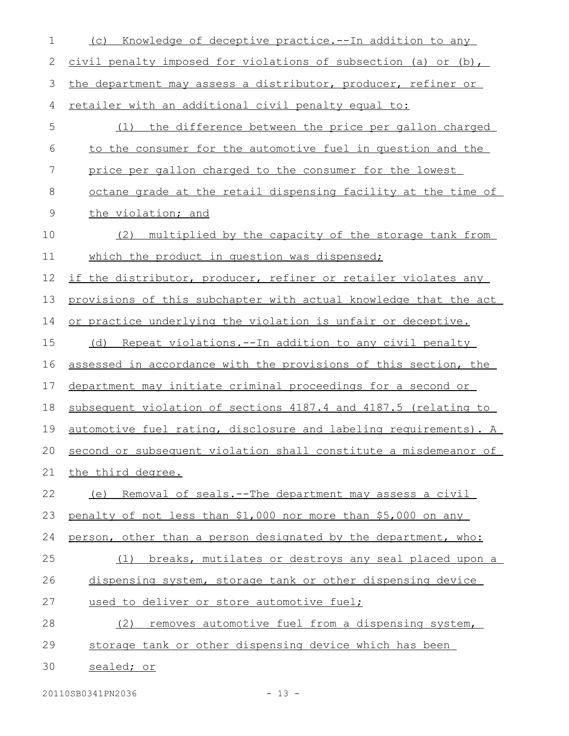| 1             | Knowledge of deceptive practice.--In addition to any<br>(C)         |
|---------------|---------------------------------------------------------------------|
| 2             | civil penalty imposed for violations of subsection (a) or (b),      |
| 3             | the department may assess a distributor, producer, refiner or       |
| 4             | retailer with an additional civil penalty equal to:                 |
| 5             | (1) the difference between the price per gallon charged             |
| 6             | to the consumer for the automotive fuel in question and the         |
| 7             | price per gallon charged to the consumer for the lowest             |
| 8             | octane grade at the retail dispensing facility at the time of       |
| $\mathcal{G}$ | the violation; and                                                  |
| 10            | multiplied by the capacity of the storage tank from<br>(2)          |
| 11            | which the product in question was dispensed;                        |
| 12            | if the distributor, producer, refiner or retailer violates any      |
| 13            | provisions of this subchapter with actual knowledge that the act    |
| 14            | or practice underlying the violation is unfair or deceptive.        |
| 15            | (d) Repeat violations.--In addition to any civil penalty            |
| 16            | assessed in accordance with the provisions of this section, the     |
| 17            | department may initiate criminal proceedings for a second or        |
| 18            | subsequent violation of sections 4187.4 and 4187.5 (relating to     |
| 19            | automotive fuel rating, disclosure and labeling requirements). A    |
|               | 20 second or subsequent violation shall constitute a misdemeanor of |
| 21            | the third degree.                                                   |
| 22            | (e) Removal of seals.--The department may assess a civil            |
| 23            | penalty of not less than \$1,000 nor more than \$5,000 on any       |
| 24            | person, other than a person designated by the department, who:      |
| 25            | (1) breaks, mutilates or destroys any seal placed upon a            |
| 26            | dispensing system, storage tank or other dispensing device          |
| 27            | used to deliver or store automotive fuel;                           |
| 28            | removes automotive fuel from a dispensing system,<br>(2)            |
| 29            | storage tank or other dispensing device which has been              |
| 30            | sealed; or                                                          |

20110SB0341PN2036 - 13 -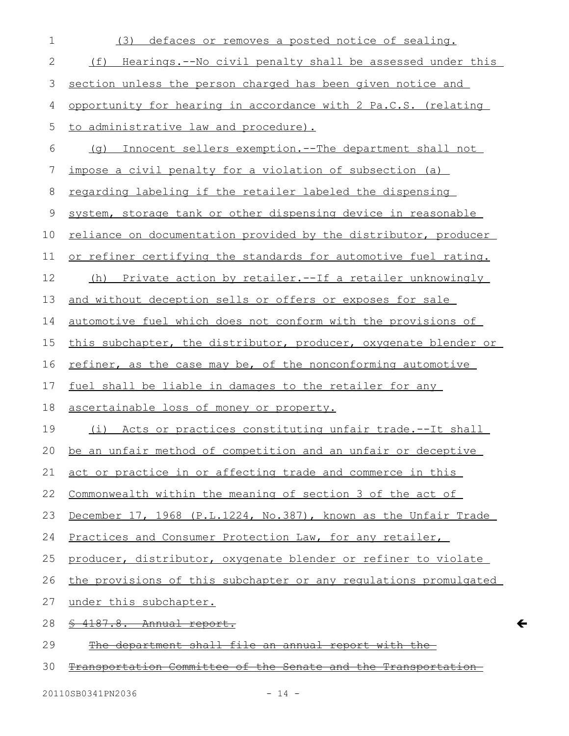| $\mathbf 1$  | defaces or removes a posted notice of sealing.<br>(3)                |
|--------------|----------------------------------------------------------------------|
| $\mathbf{2}$ | (f)<br>Hearings.--No civil penalty shall be assessed under this      |
| 3            | section unless the person charged has been given notice and          |
| 4            | opportunity for hearing in accordance with 2 Pa.C.S. (relating       |
| 5            | to administrative law and procedure).                                |
| 6            | Innocent sellers exemption. -- The department shall not<br>(q)       |
| 7            | impose a civil penalty for a violation of subsection (a)             |
| $8\,$        | regarding labeling if the retailer labeled the dispensing            |
| 9            | system, storage tank or other dispensing device in reasonable        |
| 10           | reliance on documentation provided by the distributor, producer      |
| 11           | or refiner certifying the standards for automotive fuel rating.      |
| 12           | (h) Private action by retailer.--If a retailer unknowingly           |
| 13           | and without deception sells or offers or exposes for sale            |
| 14           | automotive fuel which does not conform with the provisions of        |
| 15           | this subchapter, the distributor, producer, oxygenate blender or     |
| 16           | refiner, as the case may be, of the nonconforming automotive         |
| 17           | fuel shall be liable in damages to the retailer for any              |
| 18           | ascertainable loss of money or property.                             |
| 19           | (i) Acts or practices constituting unfair trade.--It shall           |
| $20 -$       | be an unfair method of competition and an unfair or deceptive        |
| 21           | act or practice in or affecting trade and commerce in this           |
| 22           | Commonwealth within the meaning of section 3 of the act of           |
| 23           | December 17, 1968 (P.L.1224, No.387), known as the Unfair Trade      |
| 24           | Practices and Consumer Protection Law, for any retailer,             |
| 25           | producer, distributor, oxygenate blender or refiner to violate       |
| 26           | the provisions of this subchapter or any regulations promulgated     |
| 27           | under this subchapter.                                               |
| 28           | 4187.8. Annual report.                                               |
| 29           | department shall file an annual report with                          |
| 30           | <u>Transportation Committee of the Senate and the Transportation</u> |

 $\leftarrow$